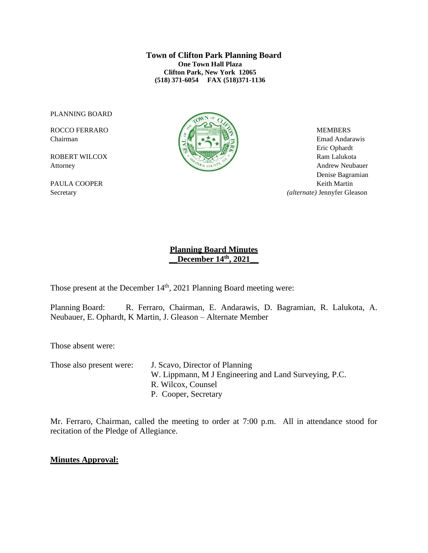**Town of Clifton Park Planning Board One Town Hall Plaza Clifton Park, New York 12065 (518) 371-6054 FAX (518)371-1136**

PLANNING BOARD



Chairman Emad Andarawis Eric Ophardt Attorney Andrew Neubauer Denise Bagramian PAULA COOPER Keith Martin Secretary *(alternate)* Jennyfer Gleason

## **Planning Board Minutes \_\_December 14th , 2021\_\_**

Those present at the December  $14<sup>th</sup>$ , 2021 Planning Board meeting were:

Planning Board: R. Ferraro, Chairman, E. Andarawis, D. Bagramian, R. Lalukota, A. Neubauer, E. Ophardt, K Martin, J. Gleason – Alternate Member

Those absent were:

Those also present were: J. Scavo, Director of Planning W. Lippmann, M J Engineering and Land Surveying, P.C. R. Wilcox, Counsel P. Cooper, Secretary

Mr. Ferraro, Chairman, called the meeting to order at 7:00 p.m. All in attendance stood for recitation of the Pledge of Allegiance.

### **Minutes Approval:**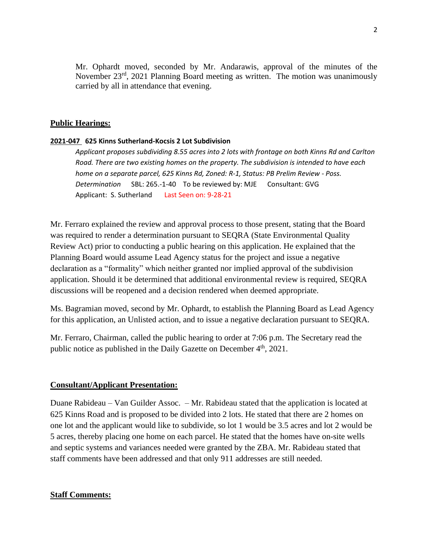Mr. Ophardt moved, seconded by Mr. Andarawis, approval of the minutes of the November 23<sup>rd</sup>, 2021 Planning Board meeting as written. The motion was unanimously carried by all in attendance that evening.

#### **Public Hearings:**

#### **2021-047 625 Kinns Sutherland-Kocsis 2 Lot Subdivision**

*Applicant proposes subdividing 8.55 acres into 2 lots with frontage on both Kinns Rd and Carlton Road. There are two existing homes on the property. The subdivision is intended to have each home on a separate parcel, 625 Kinns Rd, Zoned: R-1, Status: PB Prelim Review - Poss. Determination* SBL: 265.-1-40To be reviewed by: MJE Consultant: GVG Applicant: S. Sutherland Last Seen on: 9-28-21

Mr. Ferraro explained the review and approval process to those present, stating that the Board was required to render a determination pursuant to SEQRA (State Environmental Quality Review Act) prior to conducting a public hearing on this application. He explained that the Planning Board would assume Lead Agency status for the project and issue a negative declaration as a "formality" which neither granted nor implied approval of the subdivision application. Should it be determined that additional environmental review is required, SEQRA discussions will be reopened and a decision rendered when deemed appropriate.

Ms. Bagramian moved, second by Mr. Ophardt, to establish the Planning Board as Lead Agency for this application, an Unlisted action, and to issue a negative declaration pursuant to SEQRA.

Mr. Ferraro, Chairman, called the public hearing to order at 7:06 p.m. The Secretary read the public notice as published in the Daily Gazette on December  $4<sup>th</sup>$ , 2021.

#### **Consultant/Applicant Presentation:**

Duane Rabideau – Van Guilder Assoc. – Mr. Rabideau stated that the application is located at 625 Kinns Road and is proposed to be divided into 2 lots. He stated that there are 2 homes on one lot and the applicant would like to subdivide, so lot 1 would be 3.5 acres and lot 2 would be 5 acres, thereby placing one home on each parcel. He stated that the homes have on-site wells and septic systems and variances needed were granted by the ZBA. Mr. Rabideau stated that staff comments have been addressed and that only 911 addresses are still needed.

### **Staff Comments:**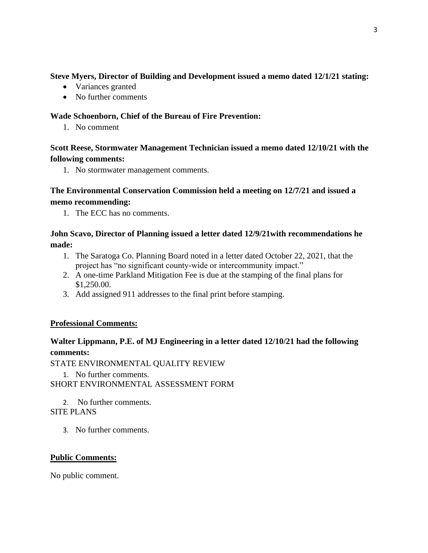## **Steve Myers, Director of Building and Development issued a memo dated 12/1/21 stating:**

- Variances granted
- No further comments

## **Wade Schoenborn, Chief of the Bureau of Fire Prevention:**

1. No comment

# **Scott Reese, Stormwater Management Technician issued a memo dated 12/10/21 with the following comments:**

1. No stormwater management comments.

# **The Environmental Conservation Commission held a meeting on 12/7/21 and issued a memo recommending:**

1. The ECC has no comments.

# **John Scavo, Director of Planning issued a letter dated 12/9/21with recommendations he made:**

- 1. The Saratoga Co. Planning Board noted in a letter dated October 22, 2021, that the project has "no significant county-wide or intercommunity impact."
- 2. A one-time Parkland Mitigation Fee is due at the stamping of the final plans for \$1,250.00.
- 3. Add assigned 911 addresses to the final print before stamping.

# **Professional Comments:**

# **Walter Lippmann, P.E. of MJ Engineering in a letter dated 12/10/21 had the following comments:**

STATE ENVIRONMENTAL QUALITY REVIEW

1. No further comments. SHORT ENVIRONMENTAL ASSESSMENT FORM

2. No further comments. SITE PLANS

3. No further comments.

# **Public Comments:**

No public comment.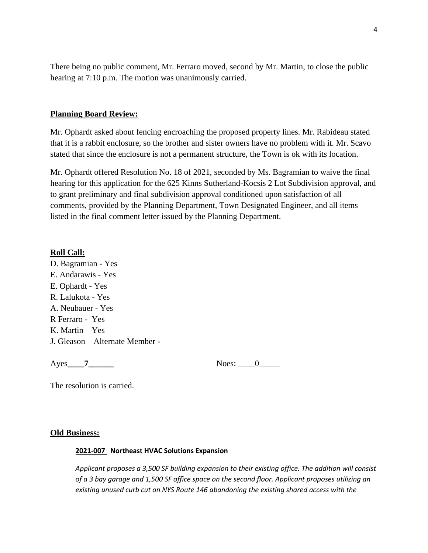There being no public comment, Mr. Ferraro moved, second by Mr. Martin, to close the public hearing at 7:10 p.m. The motion was unanimously carried.

### **Planning Board Review:**

Mr. Ophardt asked about fencing encroaching the proposed property lines. Mr. Rabideau stated that it is a rabbit enclosure, so the brother and sister owners have no problem with it. Mr. Scavo stated that since the enclosure is not a permanent structure, the Town is ok with its location.

Mr. Ophardt offered Resolution No. 18 of 2021, seconded by Ms. Bagramian to waive the final hearing for this application for the 625 Kinns Sutherland-Kocsis 2 Lot Subdivision approval, and to grant preliminary and final subdivision approval conditioned upon satisfaction of all comments, provided by the Planning Department, Town Designated Engineer, and all items listed in the final comment letter issued by the Planning Department.

### **Roll Call:**

D. Bagramian - Yes E. Andarawis - Yes E. Ophardt - Yes R. Lalukota - Yes A. Neubauer - Yes R Ferraro - Yes K. Martin – Yes J. Gleason – Alternate Member -

Ayes 7 Noes: 0

The resolution is carried.

#### **Old Business:**

#### **2021-007 Northeast HVAC Solutions Expansion**

*Applicant proposes a 3,500 SF building expansion to their existing office. The addition will consist of a 3 bay garage and 1,500 SF office space on the second floor. Applicant proposes utilizing an existing unused curb cut on NYS Route 146 abandoning the existing shared access with the*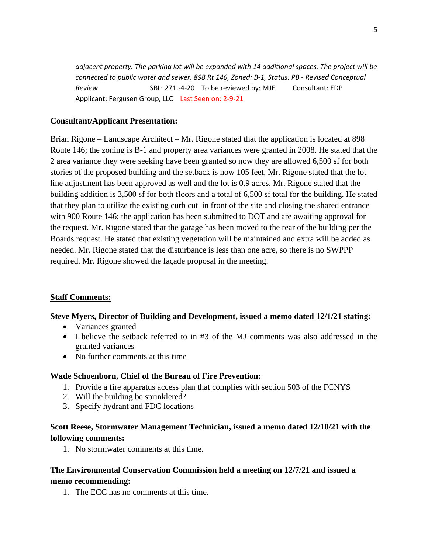*adjacent property. The parking lot will be expanded with 14 additional spaces. The project will be connected to public water and sewer, 898 Rt 146, Zoned: B-1, Status: PB - Revised Conceptual Review* SBL: 271.-4-20 To be reviewed by: MJE Consultant: EDP Applicant: Fergusen Group, LLC Last Seen on: 2-9-21

## **Consultant/Applicant Presentation:**

Brian Rigone – Landscape Architect – Mr. Rigone stated that the application is located at 898 Route 146; the zoning is B-1 and property area variances were granted in 2008. He stated that the 2 area variance they were seeking have been granted so now they are allowed 6,500 sf for both stories of the proposed building and the setback is now 105 feet. Mr. Rigone stated that the lot line adjustment has been approved as well and the lot is 0.9 acres. Mr. Rigone stated that the building addition is 3,500 sf for both floors and a total of 6,500 sf total for the building. He stated that they plan to utilize the existing curb cut in front of the site and closing the shared entrance with 900 Route 146; the application has been submitted to DOT and are awaiting approval for the request. Mr. Rigone stated that the garage has been moved to the rear of the building per the Boards request. He stated that existing vegetation will be maintained and extra will be added as needed. Mr. Rigone stated that the disturbance is less than one acre, so there is no SWPPP required. Mr. Rigone showed the façade proposal in the meeting.

## **Staff Comments:**

## **Steve Myers, Director of Building and Development, issued a memo dated 12/1/21 stating:**

- Variances granted
- I believe the setback referred to in #3 of the MJ comments was also addressed in the granted variances
- No further comments at this time

#### **Wade Schoenborn, Chief of the Bureau of Fire Prevention:**

- 1. Provide a fire apparatus access plan that complies with section 503 of the FCNYS
- 2. Will the building be sprinklered?
- 3. Specify hydrant and FDC locations

## **Scott Reese, Stormwater Management Technician, issued a memo dated 12/10/21 with the following comments:**

1. No stormwater comments at this time.

## **The Environmental Conservation Commission held a meeting on 12/7/21 and issued a memo recommending:**

1. The ECC has no comments at this time.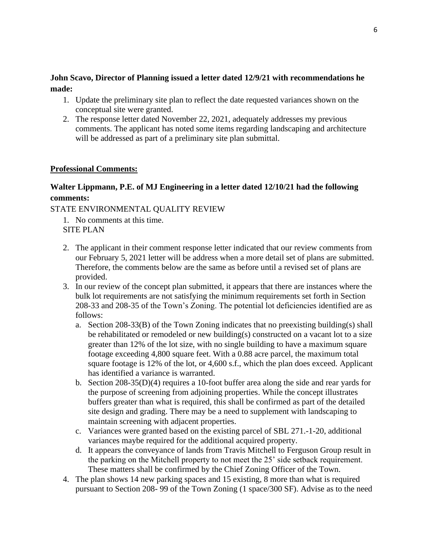## **John Scavo, Director of Planning issued a letter dated 12/9/21 with recommendations he made:**

- 1. Update the preliminary site plan to reflect the date requested variances shown on the conceptual site were granted.
- 2. The response letter dated November 22, 2021, adequately addresses my previous comments. The applicant has noted some items regarding landscaping and architecture will be addressed as part of a preliminary site plan submittal.

## **Professional Comments:**

# **Walter Lippmann, P.E. of MJ Engineering in a letter dated 12/10/21 had the following comments:**

STATE ENVIRONMENTAL QUALITY REVIEW

- 1. No comments at this time. SITE PLAN
- 2. The applicant in their comment response letter indicated that our review comments from our February 5, 2021 letter will be address when a more detail set of plans are submitted. Therefore, the comments below are the same as before until a revised set of plans are provided.
- 3. In our review of the concept plan submitted, it appears that there are instances where the bulk lot requirements are not satisfying the minimum requirements set forth in Section 208-33 and 208-35 of the Town's Zoning. The potential lot deficiencies identified are as follows:
	- a. Section 208-33(B) of the Town Zoning indicates that no preexisting building(s) shall be rehabilitated or remodeled or new building(s) constructed on a vacant lot to a size greater than 12% of the lot size, with no single building to have a maximum square footage exceeding 4,800 square feet. With a 0.88 acre parcel, the maximum total square footage is 12% of the lot, or 4,600 s.f., which the plan does exceed. Applicant has identified a variance is warranted.
	- b. Section 208-35(D)(4) requires a 10-foot buffer area along the side and rear yards for the purpose of screening from adjoining properties. While the concept illustrates buffers greater than what is required, this shall be confirmed as part of the detailed site design and grading. There may be a need to supplement with landscaping to maintain screening with adjacent properties.
	- c. Variances were granted based on the existing parcel of SBL 271.-1-20, additional variances maybe required for the additional acquired property.
	- d. It appears the conveyance of lands from Travis Mitchell to Ferguson Group result in the parking on the Mitchell property to not meet the 25' side setback requirement. These matters shall be confirmed by the Chief Zoning Officer of the Town.
- 4. The plan shows 14 new parking spaces and 15 existing, 8 more than what is required pursuant to Section 208- 99 of the Town Zoning (1 space/300 SF). Advise as to the need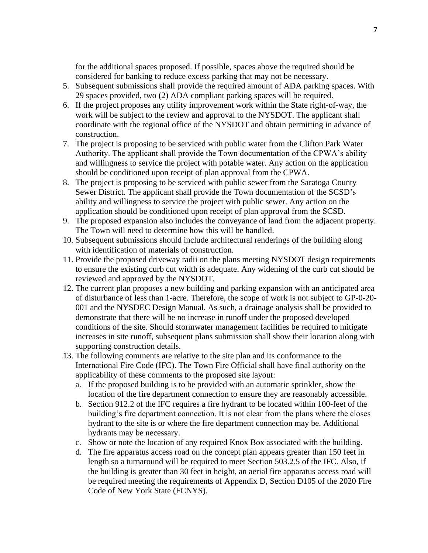for the additional spaces proposed. If possible, spaces above the required should be considered for banking to reduce excess parking that may not be necessary.

- 5. Subsequent submissions shall provide the required amount of ADA parking spaces. With 29 spaces provided, two (2) ADA compliant parking spaces will be required.
- 6. If the project proposes any utility improvement work within the State right-of-way, the work will be subject to the review and approval to the NYSDOT. The applicant shall coordinate with the regional office of the NYSDOT and obtain permitting in advance of construction.
- 7. The project is proposing to be serviced with public water from the Clifton Park Water Authority. The applicant shall provide the Town documentation of the CPWA's ability and willingness to service the project with potable water. Any action on the application should be conditioned upon receipt of plan approval from the CPWA.
- 8. The project is proposing to be serviced with public sewer from the Saratoga County Sewer District. The applicant shall provide the Town documentation of the SCSD's ability and willingness to service the project with public sewer. Any action on the application should be conditioned upon receipt of plan approval from the SCSD.
- 9. The proposed expansion also includes the conveyance of land from the adjacent property. The Town will need to determine how this will be handled.
- 10. Subsequent submissions should include architectural renderings of the building along with identification of materials of construction.
- 11. Provide the proposed driveway radii on the plans meeting NYSDOT design requirements to ensure the existing curb cut width is adequate. Any widening of the curb cut should be reviewed and approved by the NYSDOT.
- 12. The current plan proposes a new building and parking expansion with an anticipated area of disturbance of less than 1-acre. Therefore, the scope of work is not subject to GP-0-20- 001 and the NYSDEC Design Manual. As such, a drainage analysis shall be provided to demonstrate that there will be no increase in runoff under the proposed developed conditions of the site. Should stormwater management facilities be required to mitigate increases in site runoff, subsequent plans submission shall show their location along with supporting construction details.
- 13. The following comments are relative to the site plan and its conformance to the International Fire Code (IFC). The Town Fire Official shall have final authority on the applicability of these comments to the proposed site layout:
	- a. If the proposed building is to be provided with an automatic sprinkler, show the location of the fire department connection to ensure they are reasonably accessible.
	- b. Section 912.2 of the IFC requires a fire hydrant to be located within 100-feet of the building's fire department connection. It is not clear from the plans where the closes hydrant to the site is or where the fire department connection may be. Additional hydrants may be necessary.
	- c. Show or note the location of any required Knox Box associated with the building.
	- d. The fire apparatus access road on the concept plan appears greater than 150 feet in length so a turnaround will be required to meet Section 503.2.5 of the IFC. Also, if the building is greater than 30 feet in height, an aerial fire apparatus access road will be required meeting the requirements of Appendix D, Section D105 of the 2020 Fire Code of New York State (FCNYS).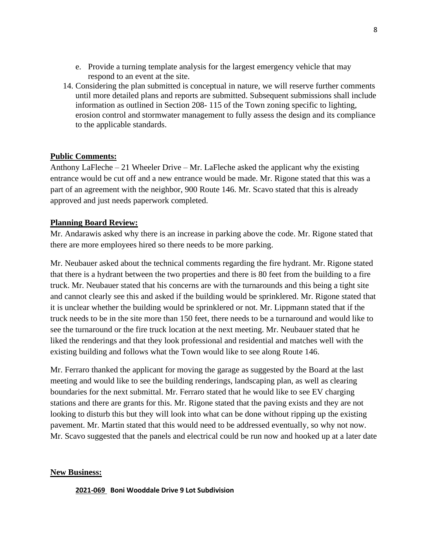- e. Provide a turning template analysis for the largest emergency vehicle that may respond to an event at the site.
- 14. Considering the plan submitted is conceptual in nature, we will reserve further comments until more detailed plans and reports are submitted. Subsequent submissions shall include information as outlined in Section 208- 115 of the Town zoning specific to lighting, erosion control and stormwater management to fully assess the design and its compliance to the applicable standards.

### **Public Comments:**

Anthony LaFleche – 21 Wheeler Drive – Mr. LaFleche asked the applicant why the existing entrance would be cut off and a new entrance would be made. Mr. Rigone stated that this was a part of an agreement with the neighbor, 900 Route 146. Mr. Scavo stated that this is already approved and just needs paperwork completed.

#### **Planning Board Review:**

Mr. Andarawis asked why there is an increase in parking above the code. Mr. Rigone stated that there are more employees hired so there needs to be more parking.

Mr. Neubauer asked about the technical comments regarding the fire hydrant. Mr. Rigone stated that there is a hydrant between the two properties and there is 80 feet from the building to a fire truck. Mr. Neubauer stated that his concerns are with the turnarounds and this being a tight site and cannot clearly see this and asked if the building would be sprinklered. Mr. Rigone stated that it is unclear whether the building would be sprinklered or not. Mr. Lippmann stated that if the truck needs to be in the site more than 150 feet, there needs to be a turnaround and would like to see the turnaround or the fire truck location at the next meeting. Mr. Neubauer stated that he liked the renderings and that they look professional and residential and matches well with the existing building and follows what the Town would like to see along Route 146.

Mr. Ferraro thanked the applicant for moving the garage as suggested by the Board at the last meeting and would like to see the building renderings, landscaping plan, as well as clearing boundaries for the next submittal. Mr. Ferraro stated that he would like to see EV charging stations and there are grants for this. Mr. Rigone stated that the paving exists and they are not looking to disturb this but they will look into what can be done without ripping up the existing pavement. Mr. Martin stated that this would need to be addressed eventually, so why not now. Mr. Scavo suggested that the panels and electrical could be run now and hooked up at a later date

#### **New Business:**

**2021-069 Boni Wooddale Drive 9 Lot Subdivision**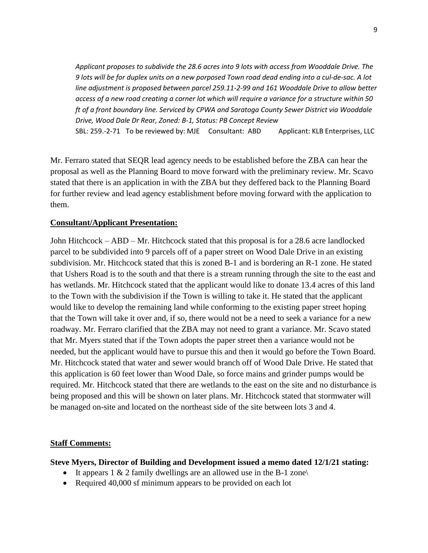*Applicant proposes to subdivide the 28.6 acres into 9 lots with access from Wooddale Drive. The 9 lots will be for duplex units on a new porposed Town road dead ending into a cul-de-sac. A lot line adjustment is proposed between parcel 259.11-2-99 and 161 Wooddale Drive to allow better access of a new road creating a corner lot which will require a variance for a structure within 50 ft of a front boundary line. Serviced by CPWA and Saratoga County Sewer District via Wooddale Drive, Wood Dale Dr Rear, Zoned: B-1, Status: PB Concept Review*  SBL: 259.-2-71 To be reviewed by: MJE Consultant: ABD Applicant: KLB Enterprises, LLC

Mr. Ferraro stated that SEQR lead agency needs to be established before the ZBA can hear the proposal as well as the Planning Board to move forward with the preliminary review. Mr. Scavo stated that there is an application in with the ZBA but they deffered back to the Planning Board for further review and lead agency establishment before moving forward with the application to them.

## **Consultant/Applicant Presentation:**

John Hitchcock – ABD – Mr. Hitchcock stated that this proposal is for a 28.6 acre landlocked parcel to be subdivided into 9 parcels off of a paper street on Wood Dale Drive in an existing subdivision. Mr. Hitchcock stated that this is zoned B-1 and is bordering an R-1 zone. He stated that Ushers Road is to the south and that there is a stream running through the site to the east and has wetlands. Mr. Hitchcock stated that the applicant would like to donate 13.4 acres of this land to the Town with the subdivision if the Town is willing to take it. He stated that the applicant would like to develop the remaining land while conforming to the existing paper street hoping that the Town will take it over and, if so, there would not be a need to seek a variance for a new roadway. Mr. Ferraro clarified that the ZBA may not need to grant a variance. Mr. Scavo stated that Mr. Myers stated that if the Town adopts the paper street then a variance would not be needed, but the applicant would have to pursue this and then it would go before the Town Board. Mr. Hitchcock stated that water and sewer would branch off of Wood Dale Drive. He stated that this application is 60 feet lower than Wood Dale, so force mains and grinder pumps would be required. Mr. Hitchcock stated that there are wetlands to the east on the site and no disturbance is being proposed and this will be shown on later plans. Mr. Hitchcock stated that stormwater will be managed on-site and located on the northeast side of the site between lots 3 and 4.

#### **Staff Comments:**

**Steve Myers, Director of Building and Development issued a memo dated 12/1/21 stating:**

- It appears  $1 \& 2$  family dwellings are an allowed use in the B-1 zone
- Required 40,000 sf minimum appears to be provided on each lot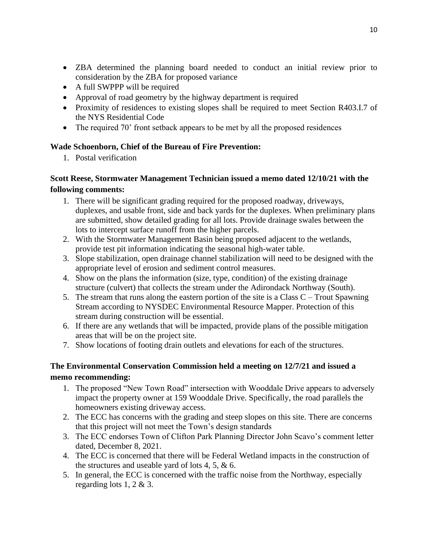- ZBA determined the planning board needed to conduct an initial review prior to consideration by the ZBA for proposed variance
- A full SWPPP will be required
- Approval of road geometry by the highway department is required
- Proximity of residences to existing slopes shall be required to meet Section R403.I.7 of the NYS Residential Code
- The required 70' front setback appears to be met by all the proposed residences

## **Wade Schoenborn, Chief of the Bureau of Fire Prevention:**

1. Postal verification

# **Scott Reese, Stormwater Management Technician issued a memo dated 12/10/21 with the following comments:**

- 1. There will be significant grading required for the proposed roadway, driveways, duplexes, and usable front, side and back yards for the duplexes. When preliminary plans are submitted, show detailed grading for all lots. Provide drainage swales between the lots to intercept surface runoff from the higher parcels.
- 2. With the Stormwater Management Basin being proposed adjacent to the wetlands, provide test pit information indicating the seasonal high-water table.
- 3. Slope stabilization, open drainage channel stabilization will need to be designed with the appropriate level of erosion and sediment control measures.
- 4. Show on the plans the information (size, type, condition) of the existing drainage structure (culvert) that collects the stream under the Adirondack Northway (South).
- 5. The stream that runs along the eastern portion of the site is a Class  $C -$  Trout Spawning Stream according to NYSDEC Environmental Resource Mapper. Protection of this stream during construction will be essential.
- 6. If there are any wetlands that will be impacted, provide plans of the possible mitigation areas that will be on the project site.
- 7. Show locations of footing drain outlets and elevations for each of the structures.

# **The Environmental Conservation Commission held a meeting on 12/7/21 and issued a memo recommending:**

- 1. The proposed "New Town Road" intersection with Wooddale Drive appears to adversely impact the property owner at 159 Wooddale Drive. Specifically, the road parallels the homeowners existing driveway access.
- 2. The ECC has concerns with the grading and steep slopes on this site. There are concerns that this project will not meet the Town's design standards
- 3. The ECC endorses Town of Clifton Park Planning Director John Scavo's comment letter dated, December 8, 2021.
- 4. The ECC is concerned that there will be Federal Wetland impacts in the construction of the structures and useable yard of lots 4, 5, & 6.
- 5. In general, the ECC is concerned with the traffic noise from the Northway, especially regarding lots 1, 2 & 3.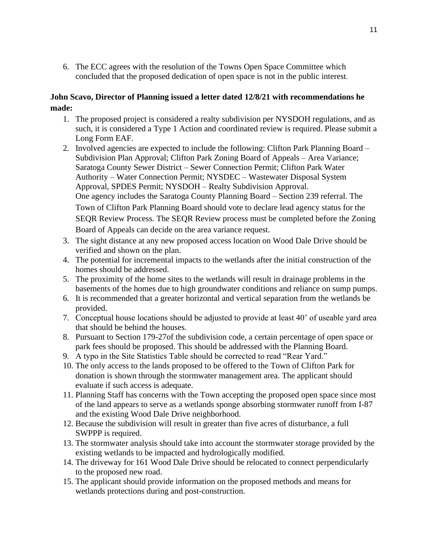6. The ECC agrees with the resolution of the Towns Open Space Committee which concluded that the proposed dedication of open space is not in the public interest.

## **John Scavo, Director of Planning issued a letter dated 12/8/21 with recommendations he made:**

- 1. The proposed project is considered a realty subdivision per NYSDOH regulations, and as such, it is considered a Type 1 Action and coordinated review is required. Please submit a Long Form EAF.
- 2. Involved agencies are expected to include the following: Clifton Park Planning Board Subdivision Plan Approval; Clifton Park Zoning Board of Appeals – Area Variance; Saratoga County Sewer District – Sewer Connection Permit; Clifton Park Water Authority – Water Connection Permit; NYSDEC – Wastewater Disposal System Approval, SPDES Permit; NYSDOH – Realty Subdivision Approval. One agency includes the Saratoga County Planning Board – Section 239 referral. The Town of Clifton Park Planning Board should vote to declare lead agency status for the SEQR Review Process. The SEQR Review process must be completed before the Zoning Board of Appeals can decide on the area variance request.
- 3. The sight distance at any new proposed access location on Wood Dale Drive should be verified and shown on the plan.
- 4. The potential for incremental impacts to the wetlands after the initial construction of the homes should be addressed.
- 5. The proximity of the home sites to the wetlands will result in drainage problems in the basements of the homes due to high groundwater conditions and reliance on sump pumps.
- 6. It is recommended that a greater horizontal and vertical separation from the wetlands be provided.
- 7. Conceptual house locations should be adjusted to provide at least 40' of useable yard area that should be behind the houses.
- 8. Pursuant to Section 179-27of the subdivision code, a certain percentage of open space or park fees should be proposed. This should be addressed with the Planning Board.
- 9. A typo in the Site Statistics Table should be corrected to read "Rear Yard."
- 10. The only access to the lands proposed to be offered to the Town of Clifton Park for donation is shown through the stormwater management area. The applicant should evaluate if such access is adequate.
- 11. Planning Staff has concerns with the Town accepting the proposed open space since most of the land appears to serve as a wetlands sponge absorbing stormwater runoff from I-87 and the existing Wood Dale Drive neighborhood.
- 12. Because the subdivision will result in greater than five acres of disturbance, a full SWPPP is required.
- 13. The stormwater analysis should take into account the stormwater storage provided by the existing wetlands to be impacted and hydrologically modified.
- 14. The driveway for 161 Wood Dale Drive should be relocated to connect perpendicularly to the proposed new road.
- 15. The applicant should provide information on the proposed methods and means for wetlands protections during and post-construction.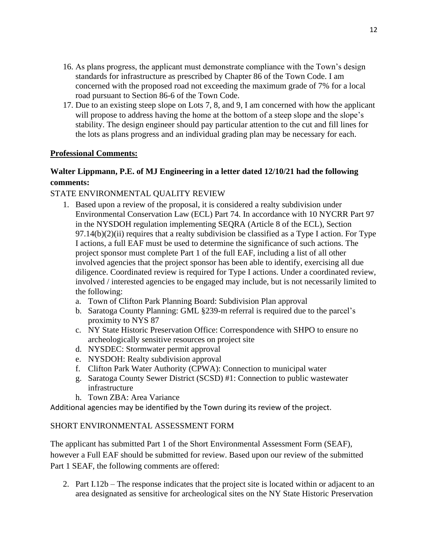- 16. As plans progress, the applicant must demonstrate compliance with the Town's design standards for infrastructure as prescribed by Chapter 86 of the Town Code. I am concerned with the proposed road not exceeding the maximum grade of 7% for a local road pursuant to Section 86-6 of the Town Code.
- 17. Due to an existing steep slope on Lots 7, 8, and 9, I am concerned with how the applicant will propose to address having the home at the bottom of a steep slope and the slope's stability. The design engineer should pay particular attention to the cut and fill lines for the lots as plans progress and an individual grading plan may be necessary for each.

## **Professional Comments:**

# **Walter Lippmann, P.E. of MJ Engineering in a letter dated 12/10/21 had the following comments:**

## STATE ENVIRONMENTAL QUALITY REVIEW

- 1. Based upon a review of the proposal, it is considered a realty subdivision under Environmental Conservation Law (ECL) Part 74. In accordance with 10 NYCRR Part 97 in the NYSDOH regulation implementing SEQRA (Article 8 of the ECL), Section  $97.14(b)(2)(ii)$  requires that a realty subdivision be classified as a Type I action. For Type I actions, a full EAF must be used to determine the significance of such actions. The project sponsor must complete Part 1 of the full EAF, including a list of all other involved agencies that the project sponsor has been able to identify, exercising all due diligence. Coordinated review is required for Type I actions. Under a coordinated review, involved / interested agencies to be engaged may include, but is not necessarily limited to the following:
	- a. Town of Clifton Park Planning Board: Subdivision Plan approval
	- b. Saratoga County Planning: GML §239-m referral is required due to the parcel's proximity to NYS 87
	- c. NY State Historic Preservation Office: Correspondence with SHPO to ensure no archeologically sensitive resources on project site
	- d. NYSDEC: Stormwater permit approval
	- e. NYSDOH: Realty subdivision approval
	- f. Clifton Park Water Authority (CPWA): Connection to municipal water
	- g. Saratoga County Sewer District (SCSD) #1: Connection to public wastewater infrastructure
	- h. Town ZBA: Area Variance

Additional agencies may be identified by the Town during its review of the project.

## SHORT ENVIRONMENTAL ASSESSMENT FORM

The applicant has submitted Part 1 of the Short Environmental Assessment Form (SEAF), however a Full EAF should be submitted for review. Based upon our review of the submitted Part 1 SEAF, the following comments are offered:

2. Part I.12b – The response indicates that the project site is located within or adjacent to an area designated as sensitive for archeological sites on the NY State Historic Preservation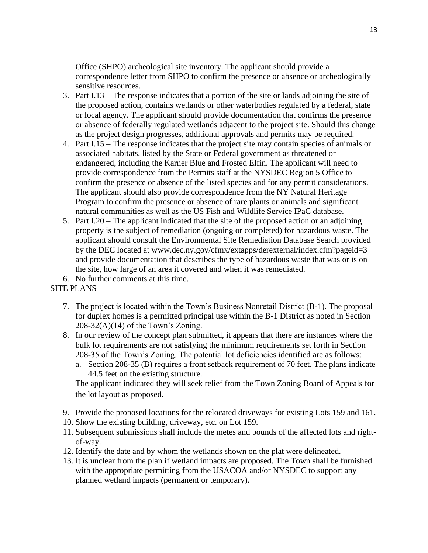Office (SHPO) archeological site inventory. The applicant should provide a correspondence letter from SHPO to confirm the presence or absence or archeologically sensitive resources.

- 3. Part I.13 The response indicates that a portion of the site or lands adjoining the site of the proposed action, contains wetlands or other waterbodies regulated by a federal, state or local agency. The applicant should provide documentation that confirms the presence or absence of federally regulated wetlands adjacent to the project site. Should this change as the project design progresses, additional approvals and permits may be required.
- 4. Part I.15 The response indicates that the project site may contain species of animals or associated habitats, listed by the State or Federal government as threatened or endangered, including the Karner Blue and Frosted Elfin. The applicant will need to provide correspondence from the Permits staff at the NYSDEC Region 5 Office to confirm the presence or absence of the listed species and for any permit considerations. The applicant should also provide correspondence from the NY Natural Heritage Program to confirm the presence or absence of rare plants or animals and significant natural communities as well as the US Fish and Wildlife Service IPaC database.
- 5. Part I.20 The applicant indicated that the site of the proposed action or an adjoining property is the subject of remediation (ongoing or completed) for hazardous waste. The applicant should consult the Environmental Site Remediation Database Search provided by the DEC located at www.dec.ny.gov/cfmx/extapps/derexternal/index.cfm?pageid=3 and provide documentation that describes the type of hazardous waste that was or is on the site, how large of an area it covered and when it was remediated.

6. No further comments at this time.

## SITE PLANS

- 7. The project is located within the Town's Business Nonretail District (B-1). The proposal for duplex homes is a permitted principal use within the B-1 District as noted in Section  $208-32(A)(14)$  of the Town's Zoning.
- 8. In our review of the concept plan submitted, it appears that there are instances where the bulk lot requirements are not satisfying the minimum requirements set forth in Section 208-35 of the Town's Zoning. The potential lot deficiencies identified are as follows:
	- a. Section 208-35 (B) requires a front setback requirement of 70 feet. The plans indicate 44.5 feet on the existing structure.

The applicant indicated they will seek relief from the Town Zoning Board of Appeals for the lot layout as proposed.

- 9. Provide the proposed locations for the relocated driveways for existing Lots 159 and 161.
- 10. Show the existing building, driveway, etc. on Lot 159.
- 11. Subsequent submissions shall include the metes and bounds of the affected lots and rightof-way.
- 12. Identify the date and by whom the wetlands shown on the plat were delineated.
- 13. It is unclear from the plan if wetland impacts are proposed. The Town shall be furnished with the appropriate permitting from the USACOA and/or NYSDEC to support any planned wetland impacts (permanent or temporary).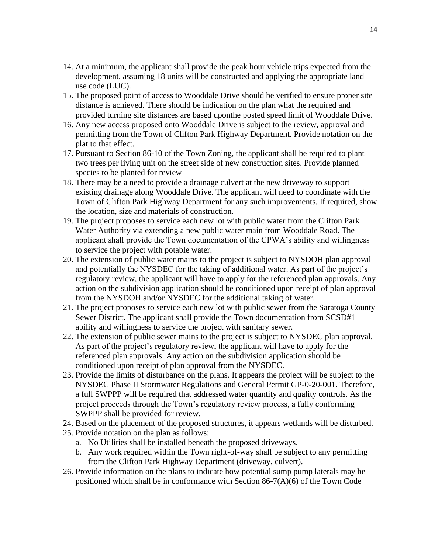- 14. At a minimum, the applicant shall provide the peak hour vehicle trips expected from the development, assuming 18 units will be constructed and applying the appropriate land use code (LUC).
- 15. The proposed point of access to Wooddale Drive should be verified to ensure proper site distance is achieved. There should be indication on the plan what the required and provided turning site distances are based uponthe posted speed limit of Wooddale Drive.
- 16. Any new access proposed onto Wooddale Drive is subject to the review, approval and permitting from the Town of Clifton Park Highway Department. Provide notation on the plat to that effect.
- 17. Pursuant to Section 86-10 of the Town Zoning, the applicant shall be required to plant two trees per living unit on the street side of new construction sites. Provide planned species to be planted for review
- 18. There may be a need to provide a drainage culvert at the new driveway to support existing drainage along Wooddale Drive. The applicant will need to coordinate with the Town of Clifton Park Highway Department for any such improvements. If required, show the location, size and materials of construction.
- 19. The project proposes to service each new lot with public water from the Clifton Park Water Authority via extending a new public water main from Wooddale Road. The applicant shall provide the Town documentation of the CPWA's ability and willingness to service the project with potable water.
- 20. The extension of public water mains to the project is subject to NYSDOH plan approval and potentially the NYSDEC for the taking of additional water. As part of the project's regulatory review, the applicant will have to apply for the referenced plan approvals. Any action on the subdivision application should be conditioned upon receipt of plan approval from the NYSDOH and/or NYSDEC for the additional taking of water.
- 21. The project proposes to service each new lot with public sewer from the Saratoga County Sewer District. The applicant shall provide the Town documentation from SCSD#1 ability and willingness to service the project with sanitary sewer.
- 22. The extension of public sewer mains to the project is subject to NYSDEC plan approval. As part of the project's regulatory review, the applicant will have to apply for the referenced plan approvals. Any action on the subdivision application should be conditioned upon receipt of plan approval from the NYSDEC.
- 23. Provide the limits of disturbance on the plans. It appears the project will be subject to the NYSDEC Phase II Stormwater Regulations and General Permit GP-0-20-001. Therefore, a full SWPPP will be required that addressed water quantity and quality controls. As the project proceeds through the Town's regulatory review process, a fully conforming SWPPP shall be provided for review.
- 24. Based on the placement of the proposed structures, it appears wetlands will be disturbed.
- 25. Provide notation on the plan as follows:
	- a. No Utilities shall be installed beneath the proposed driveways.
	- b. Any work required within the Town right-of-way shall be subject to any permitting from the Clifton Park Highway Department (driveway, culvert).
- 26. Provide information on the plans to indicate how potential sump pump laterals may be positioned which shall be in conformance with Section 86-7(A)(6) of the Town Code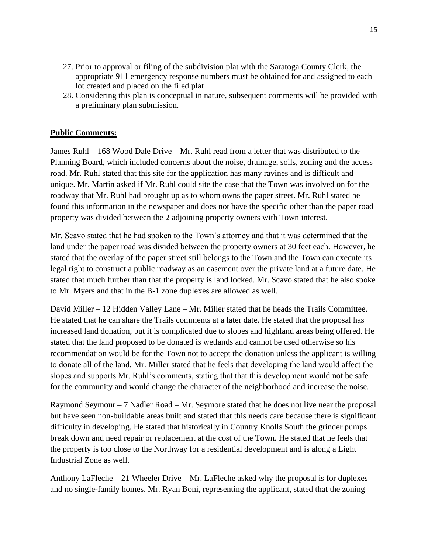- 27. Prior to approval or filing of the subdivision plat with the Saratoga County Clerk, the appropriate 911 emergency response numbers must be obtained for and assigned to each lot created and placed on the filed plat
- 28. Considering this plan is conceptual in nature, subsequent comments will be provided with a preliminary plan submission.

## **Public Comments:**

James Ruhl – 168 Wood Dale Drive – Mr. Ruhl read from a letter that was distributed to the Planning Board, which included concerns about the noise, drainage, soils, zoning and the access road. Mr. Ruhl stated that this site for the application has many ravines and is difficult and unique. Mr. Martin asked if Mr. Ruhl could site the case that the Town was involved on for the roadway that Mr. Ruhl had brought up as to whom owns the paper street. Mr. Ruhl stated he found this information in the newspaper and does not have the specific other than the paper road property was divided between the 2 adjoining property owners with Town interest.

Mr. Scavo stated that he had spoken to the Town's attorney and that it was determined that the land under the paper road was divided between the property owners at 30 feet each. However, he stated that the overlay of the paper street still belongs to the Town and the Town can execute its legal right to construct a public roadway as an easement over the private land at a future date. He stated that much further than that the property is land locked. Mr. Scavo stated that he also spoke to Mr. Myers and that in the B-1 zone duplexes are allowed as well.

David Miller – 12 Hidden Valley Lane – Mr. Miller stated that he heads the Trails Committee. He stated that he can share the Trails comments at a later date. He stated that the proposal has increased land donation, but it is complicated due to slopes and highland areas being offered. He stated that the land proposed to be donated is wetlands and cannot be used otherwise so his recommendation would be for the Town not to accept the donation unless the applicant is willing to donate all of the land. Mr. Miller stated that he feels that developing the land would affect the slopes and supports Mr. Ruhl's comments, stating that that this development would not be safe for the community and would change the character of the neighborhood and increase the noise.

Raymond Seymour – 7 Nadler Road – Mr. Seymore stated that he does not live near the proposal but have seen non-buildable areas built and stated that this needs care because there is significant difficulty in developing. He stated that historically in Country Knolls South the grinder pumps break down and need repair or replacement at the cost of the Town. He stated that he feels that the property is too close to the Northway for a residential development and is along a Light Industrial Zone as well.

Anthony LaFleche – 21 Wheeler Drive – Mr. LaFleche asked why the proposal is for duplexes and no single-family homes. Mr. Ryan Boni, representing the applicant, stated that the zoning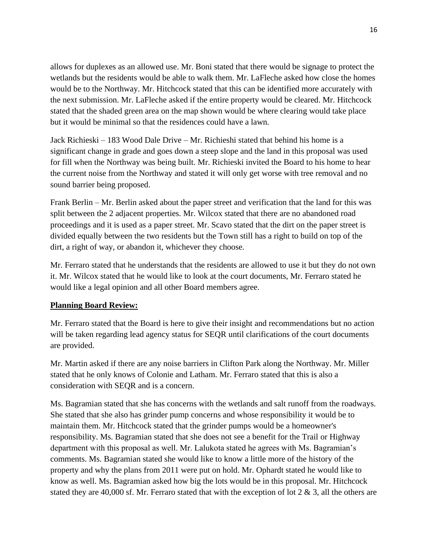allows for duplexes as an allowed use. Mr. Boni stated that there would be signage to protect the wetlands but the residents would be able to walk them. Mr. LaFleche asked how close the homes would be to the Northway. Mr. Hitchcock stated that this can be identified more accurately with the next submission. Mr. LaFleche asked if the entire property would be cleared. Mr. Hitchcock stated that the shaded green area on the map shown would be where clearing would take place but it would be minimal so that the residences could have a lawn.

Jack Richieski – 183 Wood Dale Drive – Mr. Richieshi stated that behind his home is a significant change in grade and goes down a steep slope and the land in this proposal was used for fill when the Northway was being built. Mr. Richieski invited the Board to his home to hear the current noise from the Northway and stated it will only get worse with tree removal and no sound barrier being proposed.

Frank Berlin – Mr. Berlin asked about the paper street and verification that the land for this was split between the 2 adjacent properties. Mr. Wilcox stated that there are no abandoned road proceedings and it is used as a paper street. Mr. Scavo stated that the dirt on the paper street is divided equally between the two residents but the Town still has a right to build on top of the dirt, a right of way, or abandon it, whichever they choose.

Mr. Ferraro stated that he understands that the residents are allowed to use it but they do not own it. Mr. Wilcox stated that he would like to look at the court documents, Mr. Ferraro stated he would like a legal opinion and all other Board members agree.

## **Planning Board Review:**

Mr. Ferraro stated that the Board is here to give their insight and recommendations but no action will be taken regarding lead agency status for SEQR until clarifications of the court documents are provided.

Mr. Martin asked if there are any noise barriers in Clifton Park along the Northway. Mr. Miller stated that he only knows of Colonie and Latham. Mr. Ferraro stated that this is also a consideration with SEQR and is a concern.

Ms. Bagramian stated that she has concerns with the wetlands and salt runoff from the roadways. She stated that she also has grinder pump concerns and whose responsibility it would be to maintain them. Mr. Hitchcock stated that the grinder pumps would be a homeowner's responsibility. Ms. Bagramian stated that she does not see a benefit for the Trail or Highway department with this proposal as well. Mr. Lalukota stated he agrees with Ms. Bagramian's comments. Ms. Bagramian stated she would like to know a little more of the history of the property and why the plans from 2011 were put on hold. Mr. Ophardt stated he would like to know as well. Ms. Bagramian asked how big the lots would be in this proposal. Mr. Hitchcock stated they are 40,000 sf. Mr. Ferraro stated that with the exception of lot  $2 \& 3$ , all the others are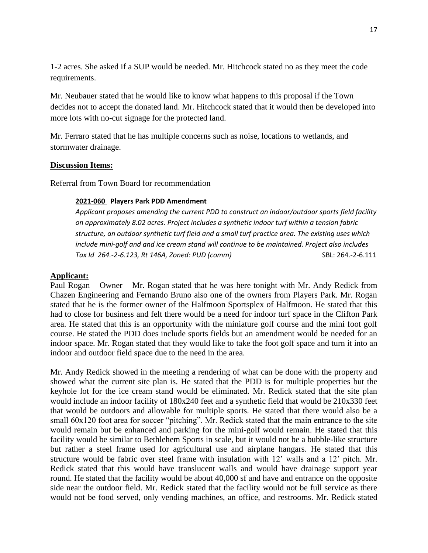1-2 acres. She asked if a SUP would be needed. Mr. Hitchcock stated no as they meet the code requirements.

Mr. Neubauer stated that he would like to know what happens to this proposal if the Town decides not to accept the donated land. Mr. Hitchcock stated that it would then be developed into more lots with no-cut signage for the protected land.

Mr. Ferraro stated that he has multiple concerns such as noise, locations to wetlands, and stormwater drainage.

### **Discussion Items:**

Referral from Town Board for recommendation

### **2021-060 Players Park PDD Amendment**

*Applicant proposes amending the current PDD to construct an indoor/outdoor sports field facility on approximately 8.02 acres. Project includes a synthetic indoor turf within a tension fabric structure, an outdoor synthetic turf field and a small turf practice area. The existing uses which include mini-golf and and ice cream stand will continue to be maintained. Project also includes Tax Id 264.-2-6.123, Rt 146A, Zoned: PUD (comm)* SBL: 264.-2-6.111

### **Applicant:**

Paul Rogan – Owner – Mr. Rogan stated that he was here tonight with Mr. Andy Redick from Chazen Engineering and Fernando Bruno also one of the owners from Players Park. Mr. Rogan stated that he is the former owner of the Halfmoon Sportsplex of Halfmoon. He stated that this had to close for business and felt there would be a need for indoor turf space in the Clifton Park area. He stated that this is an opportunity with the miniature golf course and the mini foot golf course. He stated the PDD does include sports fields but an amendment would be needed for an indoor space. Mr. Rogan stated that they would like to take the foot golf space and turn it into an indoor and outdoor field space due to the need in the area.

Mr. Andy Redick showed in the meeting a rendering of what can be done with the property and showed what the current site plan is. He stated that the PDD is for multiple properties but the keyhole lot for the ice cream stand would be eliminated. Mr. Redick stated that the site plan would include an indoor facility of 180x240 feet and a synthetic field that would be 210x330 feet that would be outdoors and allowable for multiple sports. He stated that there would also be a small 60x120 foot area for soccer "pitching". Mr. Redick stated that the main entrance to the site would remain but be enhanced and parking for the mini-golf would remain. He stated that this facility would be similar to Bethlehem Sports in scale, but it would not be a bubble-like structure but rather a steel frame used for agricultural use and airplane hangars. He stated that this structure would be fabric over steel frame with insulation with 12' walls and a 12' pitch. Mr. Redick stated that this would have translucent walls and would have drainage support year round. He stated that the facility would be about 40,000 sf and have and entrance on the opposite side near the outdoor field. Mr. Redick stated that the facility would not be full service as there would not be food served, only vending machines, an office, and restrooms. Mr. Redick stated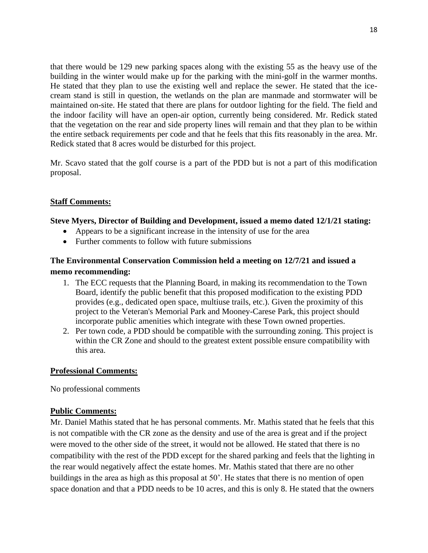that there would be 129 new parking spaces along with the existing 55 as the heavy use of the building in the winter would make up for the parking with the mini-golf in the warmer months. He stated that they plan to use the existing well and replace the sewer. He stated that the icecream stand is still in question, the wetlands on the plan are manmade and stormwater will be maintained on-site. He stated that there are plans for outdoor lighting for the field. The field and the indoor facility will have an open-air option, currently being considered. Mr. Redick stated that the vegetation on the rear and side property lines will remain and that they plan to be within the entire setback requirements per code and that he feels that this fits reasonably in the area. Mr. Redick stated that 8 acres would be disturbed for this project.

Mr. Scavo stated that the golf course is a part of the PDD but is not a part of this modification proposal.

## **Staff Comments:**

## **Steve Myers, Director of Building and Development, issued a memo dated 12/1/21 stating:**

- Appears to be a significant increase in the intensity of use for the area
- Further comments to follow with future submissions

## **The Environmental Conservation Commission held a meeting on 12/7/21 and issued a memo recommending:**

- 1. The ECC requests that the Planning Board, in making its recommendation to the Town Board, identify the public benefit that this proposed modification to the existing PDD provides (e.g., dedicated open space, multiuse trails, etc.). Given the proximity of this project to the Veteran's Memorial Park and Mooney-Carese Park, this project should incorporate public amenities which integrate with these Town owned properties.
- 2. Per town code, a PDD should be compatible with the surrounding zoning. This project is within the CR Zone and should to the greatest extent possible ensure compatibility with this area.

## **Professional Comments:**

No professional comments

## **Public Comments:**

Mr. Daniel Mathis stated that he has personal comments. Mr. Mathis stated that he feels that this is not compatible with the CR zone as the density and use of the area is great and if the project were moved to the other side of the street, it would not be allowed. He stated that there is no compatibility with the rest of the PDD except for the shared parking and feels that the lighting in the rear would negatively affect the estate homes. Mr. Mathis stated that there are no other buildings in the area as high as this proposal at 50'. He states that there is no mention of open space donation and that a PDD needs to be 10 acres, and this is only 8. He stated that the owners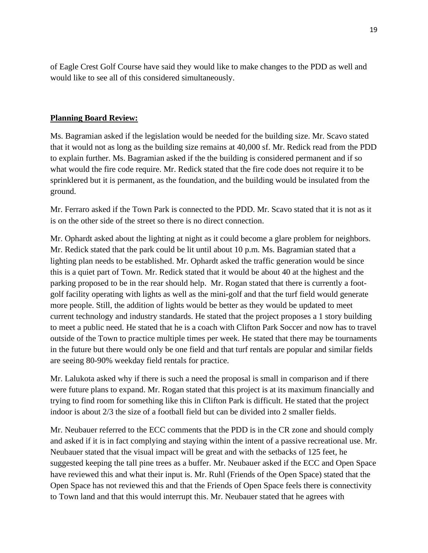of Eagle Crest Golf Course have said they would like to make changes to the PDD as well and would like to see all of this considered simultaneously.

## **Planning Board Review:**

Ms. Bagramian asked if the legislation would be needed for the building size. Mr. Scavo stated that it would not as long as the building size remains at 40,000 sf. Mr. Redick read from the PDD to explain further. Ms. Bagramian asked if the the building is considered permanent and if so what would the fire code require. Mr. Redick stated that the fire code does not require it to be sprinklered but it is permanent, as the foundation, and the building would be insulated from the ground.

Mr. Ferraro asked if the Town Park is connected to the PDD. Mr. Scavo stated that it is not as it is on the other side of the street so there is no direct connection.

Mr. Ophardt asked about the lighting at night as it could become a glare problem for neighbors. Mr. Redick stated that the park could be lit until about 10 p.m. Ms. Bagramian stated that a lighting plan needs to be established. Mr. Ophardt asked the traffic generation would be since this is a quiet part of Town. Mr. Redick stated that it would be about 40 at the highest and the parking proposed to be in the rear should help. Mr. Rogan stated that there is currently a footgolf facility operating with lights as well as the mini-golf and that the turf field would generate more people. Still, the addition of lights would be better as they would be updated to meet current technology and industry standards. He stated that the project proposes a 1 story building to meet a public need. He stated that he is a coach with Clifton Park Soccer and now has to travel outside of the Town to practice multiple times per week. He stated that there may be tournaments in the future but there would only be one field and that turf rentals are popular and similar fields are seeing 80-90% weekday field rentals for practice.

Mr. Lalukota asked why if there is such a need the proposal is small in comparison and if there were future plans to expand. Mr. Rogan stated that this project is at its maximum financially and trying to find room for something like this in Clifton Park is difficult. He stated that the project indoor is about 2/3 the size of a football field but can be divided into 2 smaller fields.

Mr. Neubauer referred to the ECC comments that the PDD is in the CR zone and should comply and asked if it is in fact complying and staying within the intent of a passive recreational use. Mr. Neubauer stated that the visual impact will be great and with the setbacks of 125 feet, he suggested keeping the tall pine trees as a buffer. Mr. Neubauer asked if the ECC and Open Space have reviewed this and what their input is. Mr. Ruhl (Friends of the Open Space) stated that the Open Space has not reviewed this and that the Friends of Open Space feels there is connectivity to Town land and that this would interrupt this. Mr. Neubauer stated that he agrees with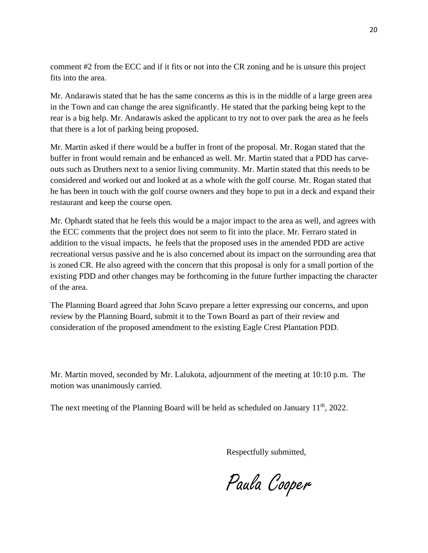comment #2 from the ECC and if it fits or not into the CR zoning and he is unsure this project fits into the area.

Mr. Andarawis stated that he has the same concerns as this is in the middle of a large green area in the Town and can change the area significantly. He stated that the parking being kept to the rear is a big help. Mr. Andarawis asked the applicant to try not to over park the area as he feels that there is a lot of parking being proposed.

Mr. Martin asked if there would be a buffer in front of the proposal. Mr. Rogan stated that the buffer in front would remain and be enhanced as well. Mr. Martin stated that a PDD has carveouts such as Druthers next to a senior living community. Mr. Martin stated that this needs to be considered and worked out and looked at as a whole with the golf course. Mr. Rogan stated that he has been in touch with the golf course owners and they hope to put in a deck and expand their restaurant and keep the course open.

Mr. Ophardt stated that he feels this would be a major impact to the area as well, and agrees with the ECC comments that the project does not seem to fit into the place. Mr. Ferraro stated in addition to the visual impacts, he feels that the proposed uses in the amended PDD are active recreational versus passive and he is also concerned about its impact on the surrounding area that is zoned CR. He also agreed with the concern that this proposal is only for a small portion of the existing PDD and other changes may be forthcoming in the future further impacting the character of the area.

The Planning Board agreed that John Scavo prepare a letter expressing our concerns, and upon review by the Planning Board, submit it to the Town Board as part of their review and consideration of the proposed amendment to the existing Eagle Crest Plantation PDD.

Mr. Martin moved, seconded by Mr. Lalukota, adjournment of the meeting at 10:10 p.m. The motion was unanimously carried.

The next meeting of the Planning Board will be held as scheduled on January 11<sup>th</sup>, 2022.

Respectfully submitted,

Paula Cooper